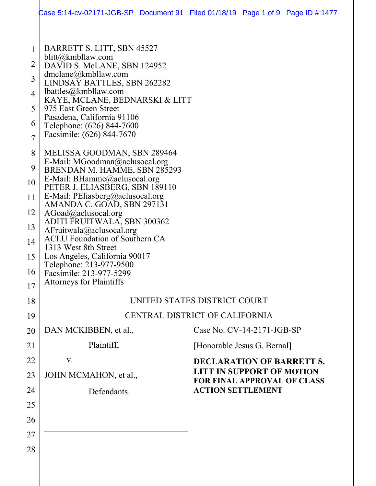| BARRETT S. LITT, SBN 45527<br>blitt@kmbllaw.com<br>DAVID S. McLANE, SBN 124952<br>$d$ mclane@kmbllaw.com<br>LINDSAY BATTLES, SBN 262282<br>lbattles@kmbllaw.com<br>975 East Green Street<br>Pasadena, California 91106<br>Telephone: (626) 844-7600<br>Facsimile: (626) 844-7670<br>MELISSA GOODMAN, SBN 289464<br>E-Mail: MGoodman@aclusocal.org<br>BRENDAN M. HAMME, SBN 285293<br>E-Mail: BHamme@aclusocal.org<br>PETER J. ELIASBERG, SBN 189110<br>E-Mail: PEliasberg@aclusocal.org<br>AMANDA C. GOAD, SBN 297131<br>AGoad@aclusocal.org<br>ADITI FRUITWALA, SBN 300362<br>AFruitwala@aclusocal.org<br><b>ACLU</b> Foundation of Southern CA<br>1313 West 8th Street<br>Los Angeles, California 90017<br>Telephone: 213-977-9500<br>Facsimile: 213-977-5299 |                                                                                                                      |                                |                                                                                                                                                                                                                                            |
|-----------------------------------------------------------------------------------------------------------------------------------------------------------------------------------------------------------------------------------------------------------------------------------------------------------------------------------------------------------------------------------------------------------------------------------------------------------------------------------------------------------------------------------------------------------------------------------------------------------------------------------------------------------------------------------------------------------------------------------------------------------------|----------------------------------------------------------------------------------------------------------------------|--------------------------------|--------------------------------------------------------------------------------------------------------------------------------------------------------------------------------------------------------------------------------------------|
|                                                                                                                                                                                                                                                                                                                                                                                                                                                                                                                                                                                                                                                                                                                                                                 |                                                                                                                      |                                |                                                                                                                                                                                                                                            |
|                                                                                                                                                                                                                                                                                                                                                                                                                                                                                                                                                                                                                                                                                                                                                                 |                                                                                                                      |                                |                                                                                                                                                                                                                                            |
|                                                                                                                                                                                                                                                                                                                                                                                                                                                                                                                                                                                                                                                                                                                                                                 |                                                                                                                      |                                |                                                                                                                                                                                                                                            |
|                                                                                                                                                                                                                                                                                                                                                                                                                                                                                                                                                                                                                                                                                                                                                                 |                                                                                                                      |                                |                                                                                                                                                                                                                                            |
|                                                                                                                                                                                                                                                                                                                                                                                                                                                                                                                                                                                                                                                                                                                                                                 |                                                                                                                      |                                |                                                                                                                                                                                                                                            |
|                                                                                                                                                                                                                                                                                                                                                                                                                                                                                                                                                                                                                                                                                                                                                                 | <b>DECLARATION OF BARRETT S.</b><br><b>LITT IN SUPPORT OF MOTION</b><br><b>FOR FINAL APPROVAL OF CLASS</b>           |                                |                                                                                                                                                                                                                                            |
|                                                                                                                                                                                                                                                                                                                                                                                                                                                                                                                                                                                                                                                                                                                                                                 |                                                                                                                      |                                |                                                                                                                                                                                                                                            |
|                                                                                                                                                                                                                                                                                                                                                                                                                                                                                                                                                                                                                                                                                                                                                                 |                                                                                                                      |                                |                                                                                                                                                                                                                                            |
|                                                                                                                                                                                                                                                                                                                                                                                                                                                                                                                                                                                                                                                                                                                                                                 |                                                                                                                      |                                |                                                                                                                                                                                                                                            |
|                                                                                                                                                                                                                                                                                                                                                                                                                                                                                                                                                                                                                                                                                                                                                                 |                                                                                                                      |                                |                                                                                                                                                                                                                                            |
|                                                                                                                                                                                                                                                                                                                                                                                                                                                                                                                                                                                                                                                                                                                                                                 |                                                                                                                      |                                |                                                                                                                                                                                                                                            |
|                                                                                                                                                                                                                                                                                                                                                                                                                                                                                                                                                                                                                                                                                                                                                                 |                                                                                                                      |                                |                                                                                                                                                                                                                                            |
|                                                                                                                                                                                                                                                                                                                                                                                                                                                                                                                                                                                                                                                                                                                                                                 | <b>Attorneys for Plaintiffs</b><br>DAN MCKIBBEN, et al.,<br>Plaintiff,<br>V.<br>JOHN MCMAHON, et al.,<br>Defendants. | KAYE, MCLANE, BEDNARSKI & LITT | lase 5:14-cv-02171-JGB-SP Document 91 Filed 01/18/19 Page 1 of 9 Page ID #:1477<br>UNITED STATES DISTRICT COURT<br>CENTRAL DISTRICT OF CALIFORNIA<br>Case No. CV-14-2171-JGB-SP<br>[Honorable Jesus G. Bernal]<br><b>ACTION SETTLEMENT</b> |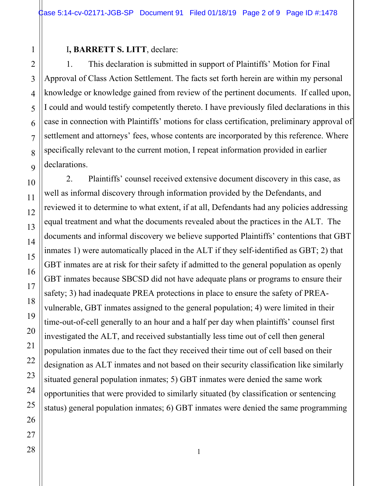## I**, BARRETT S. LITT**, declare:

1. This declaration is submitted in support of Plaintiffs' Motion for Final Approval of Class Action Settlement. The facts set forth herein are within my personal knowledge or knowledge gained from review of the pertinent documents. If called upon, I could and would testify competently thereto. I have previously filed declarations in this case in connection with Plaintiffs' motions for class certification, preliminary approval of settlement and attorneys' fees, whose contents are incorporated by this reference. Where specifically relevant to the current motion, I repeat information provided in earlier declarations.

2. Plaintiffs' counsel received extensive document discovery in this case, as well as informal discovery through information provided by the Defendants, and reviewed it to determine to what extent, if at all, Defendants had any policies addressing equal treatment and what the documents revealed about the practices in the ALT. The documents and informal discovery we believe supported Plaintiffs' contentions that GBT inmates 1) were automatically placed in the ALT if they self-identified as GBT; 2) that GBT inmates are at risk for their safety if admitted to the general population as openly GBT inmates because SBCSD did not have adequate plans or programs to ensure their safety; 3) had inadequate PREA protections in place to ensure the safety of PREAvulnerable, GBT inmates assigned to the general population; 4) were limited in their time-out-of-cell generally to an hour and a half per day when plaintiffs' counsel first investigated the ALT, and received substantially less time out of cell then general population inmates due to the fact they received their time out of cell based on their designation as ALT inmates and not based on their security classification like similarly situated general population inmates; 5) GBT inmates were denied the same work opportunities that were provided to similarly situated (by classification or sentencing status) general population inmates; 6) GBT inmates were denied the same programming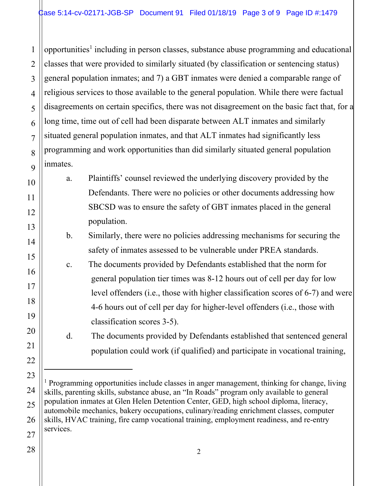1 2 3 4 5 6 7 8 9 opportunities<sup>1</sup> including in person classes, substance abuse programming and educational classes that were provided to similarly situated (by classification or sentencing status) general population inmates; and 7) a GBT inmates were denied a comparable range of religious services to those available to the general population. While there were factual disagreements on certain specifics, there was not disagreement on the basic fact that, for a long time, time out of cell had been disparate between ALT inmates and similarly situated general population inmates, and that ALT inmates had significantly less programming and work opportunities than did similarly situated general population inmates.

a. Plaintiffs' counsel reviewed the underlying discovery provided by the Defendants. There were no policies or other documents addressing how SBCSD was to ensure the safety of GBT inmates placed in the general population.

b. Similarly, there were no policies addressing mechanisms for securing the safety of inmates assessed to be vulnerable under PREA standards.

c. The documents provided by Defendants established that the norm for general population tier times was 8-12 hours out of cell per day for low level offenders (i.e., those with higher classification scores of 6-7) and were 4-6 hours out of cell per day for higher-level offenders (i.e., those with classification scores 3-5).

d. The documents provided by Defendants established that sentenced general population could work (if qualified) and participate in vocational training,

l

10

11

12

13

14

<sup>&</sup>lt;sup>1</sup> Programming opportunities include classes in anger management, thinking for change, living skills, parenting skills, substance abuse, an "In Roads" program only available to general population inmates at Glen Helen Detention Center, GED, high school diploma, literacy, automobile mechanics, bakery occupations, culinary/reading enrichment classes, computer skills, HVAC training, fire camp vocational training, employment readiness, and re-entry services.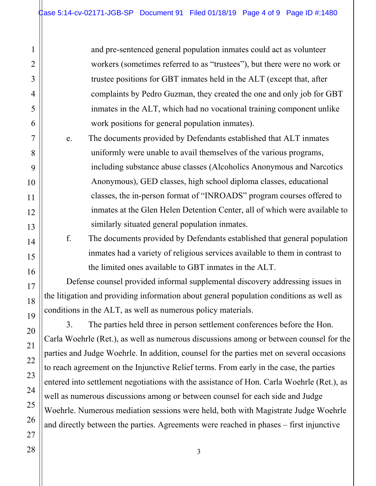and pre-sentenced general population inmates could act as volunteer workers (sometimes referred to as "trustees"), but there were no work or trustee positions for GBT inmates held in the ALT (except that, after complaints by Pedro Guzman, they created the one and only job for GBT inmates in the ALT, which had no vocational training component unlike work positions for general population inmates).

e. The documents provided by Defendants established that ALT inmates uniformly were unable to avail themselves of the various programs, including substance abuse classes (Alcoholics Anonymous and Narcotics Anonymous), GED classes, high school diploma classes, educational classes, the in-person format of "INROADS" program courses offered to inmates at the Glen Helen Detention Center, all of which were available to similarly situated general population inmates.

f. The documents provided by Defendants established that general population inmates had a variety of religious services available to them in contrast to the limited ones available to GBT inmates in the ALT.

Defense counsel provided informal supplemental discovery addressing issues in the litigation and providing information about general population conditions as well as conditions in the ALT, as well as numerous policy materials.

3. The parties held three in person settlement conferences before the Hon. Carla Woehrle (Ret.), as well as numerous discussions among or between counsel for the parties and Judge Woehrle. In addition, counsel for the parties met on several occasions to reach agreement on the Injunctive Relief terms. From early in the case, the parties entered into settlement negotiations with the assistance of Hon. Carla Woehrle (Ret.), as well as numerous discussions among or between counsel for each side and Judge Woehrle. Numerous mediation sessions were held, both with Magistrate Judge Woehrle and directly between the parties. Agreements were reached in phases – first injunctive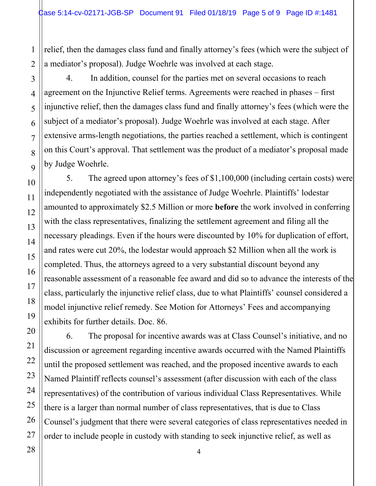relief, then the damages class fund and finally attorney's fees (which were the subject of a mediator's proposal). Judge Woehrle was involved at each stage.

4. In addition, counsel for the parties met on several occasions to reach agreement on the Injunctive Relief terms. Agreements were reached in phases – first injunctive relief, then the damages class fund and finally attorney's fees (which were the subject of a mediator's proposal). Judge Woehrle was involved at each stage. After extensive arms-length negotiations, the parties reached a settlement, which is contingent on this Court's approval. That settlement was the product of a mediator's proposal made by Judge Woehrle.

5. The agreed upon attorney's fees of \$1,100,000 (including certain costs) were independently negotiated with the assistance of Judge Woehrle. Plaintiffs' lodestar amounted to approximately \$2.5 Million or more **before** the work involved in conferring with the class representatives, finalizing the settlement agreement and filing all the necessary pleadings. Even if the hours were discounted by 10% for duplication of effort, and rates were cut 20%, the lodestar would approach \$2 Million when all the work is completed. Thus, the attorneys agreed to a very substantial discount beyond any reasonable assessment of a reasonable fee award and did so to advance the interests of the class, particularly the injunctive relief class, due to what Plaintiffs' counsel considered a model injunctive relief remedy. See Motion for Attorneys' Fees and accompanying exhibits for further details. Doc. 86.

6. The proposal for incentive awards was at Class Counsel's initiative, and no discussion or agreement regarding incentive awards occurred with the Named Plaintiffs until the proposed settlement was reached, and the proposed incentive awards to each Named Plaintiff reflects counsel's assessment (after discussion with each of the class representatives) of the contribution of various individual Class Representatives. While there is a larger than normal number of class representatives, that is due to Class Counsel's judgment that there were several categories of class representatives needed in order to include people in custody with standing to seek injunctive relief, as well as

4

1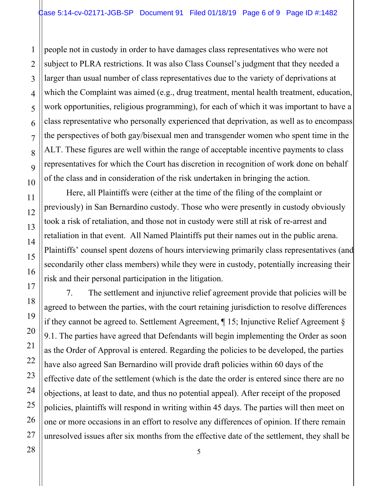people not in custody in order to have damages class representatives who were not subject to PLRA restrictions. It was also Class Counsel's judgment that they needed a larger than usual number of class representatives due to the variety of deprivations at which the Complaint was aimed (e.g., drug treatment, mental health treatment, education, work opportunities, religious programming), for each of which it was important to have a class representative who personally experienced that deprivation, as well as to encompass the perspectives of both gay/bisexual men and transgender women who spent time in the ALT. These figures are well within the range of acceptable incentive payments to class representatives for which the Court has discretion in recognition of work done on behalf of the class and in consideration of the risk undertaken in bringing the action.

Here, all Plaintiffs were (either at the time of the filing of the complaint or previously) in San Bernardino custody. Those who were presently in custody obviously took a risk of retaliation, and those not in custody were still at risk of re-arrest and retaliation in that event. All Named Plaintiffs put their names out in the public arena. Plaintiffs' counsel spent dozens of hours interviewing primarily class representatives (and secondarily other class members) while they were in custody, potentially increasing their risk and their personal participation in the litigation.

7. The settlement and injunctive relief agreement provide that policies will be agreed to between the parties, with the court retaining jurisdiction to resolve differences if they cannot be agreed to. Settlement Agreement,  $\P$  15; Injunctive Relief Agreement  $\S$ 9.1. The parties have agreed that Defendants will begin implementing the Order as soon as the Order of Approval is entered. Regarding the policies to be developed, the parties have also agreed San Bernardino will provide draft policies within 60 days of the effective date of the settlement (which is the date the order is entered since there are no objections, at least to date, and thus no potential appeal). After receipt of the proposed policies, plaintiffs will respond in writing within 45 days. The parties will then meet on one or more occasions in an effort to resolve any differences of opinion. If there remain unresolved issues after six months from the effective date of the settlement, they shall be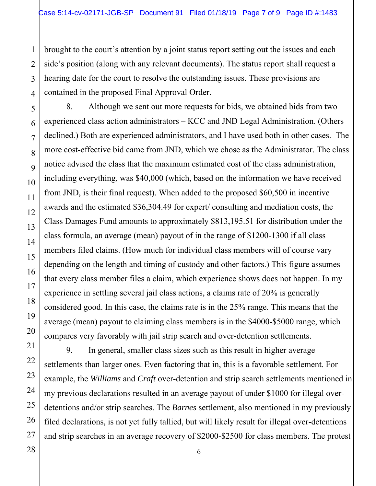brought to the court's attention by a joint status report setting out the issues and each side's position (along with any relevant documents). The status report shall request a hearing date for the court to resolve the outstanding issues. These provisions are contained in the proposed Final Approval Order.

8. Although we sent out more requests for bids, we obtained bids from two experienced class action administrators – KCC and JND Legal Administration. (Others declined.) Both are experienced administrators, and I have used both in other cases. The more cost-effective bid came from JND, which we chose as the Administrator. The class notice advised the class that the maximum estimated cost of the class administration, including everything, was \$40,000 (which, based on the information we have received from JND, is their final request). When added to the proposed \$60,500 in incentive awards and the estimated \$36,304.49 for expert/ consulting and mediation costs, the Class Damages Fund amounts to approximately \$813,195.51 for distribution under the class formula, an average (mean) payout of in the range of \$1200-1300 if all class members filed claims. (How much for individual class members will of course vary depending on the length and timing of custody and other factors.) This figure assumes that every class member files a claim, which experience shows does not happen. In my experience in settling several jail class actions, a claims rate of 20% is generally considered good. In this case, the claims rate is in the 25% range. This means that the average (mean) payout to claiming class members is in the \$4000-\$5000 range, which compares very favorably with jail strip search and over-detention settlements.

9. In general, smaller class sizes such as this result in higher average settlements than larger ones. Even factoring that in, this is a favorable settlement. For example, the *Williams* and *Craft* over-detention and strip search settlements mentioned in my previous declarations resulted in an average payout of under \$1000 for illegal overdetentions and/or strip searches. The *Barnes* settlement, also mentioned in my previously filed declarations, is not yet fully tallied, but will likely result for illegal over-detentions and strip searches in an average recovery of \$2000-\$2500 for class members. The protest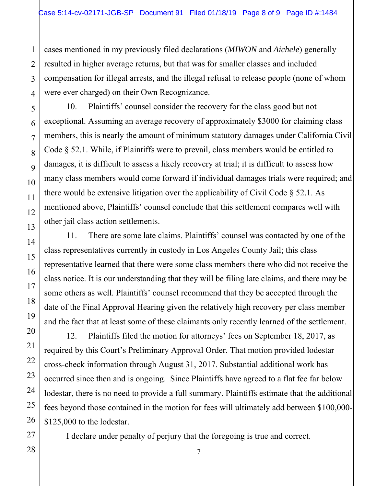cases mentioned in my previously filed declarations (*MIWON* and *Aichele*) generally resulted in higher average returns, but that was for smaller classes and included compensation for illegal arrests, and the illegal refusal to release people (none of whom were ever charged) on their Own Recognizance.

10. Plaintiffs' counsel consider the recovery for the class good but not exceptional. Assuming an average recovery of approximately \$3000 for claiming class members, this is nearly the amount of minimum statutory damages under California Civil Code § 52.1. While, if Plaintiffs were to prevail, class members would be entitled to damages, it is difficult to assess a likely recovery at trial; it is difficult to assess how many class members would come forward if individual damages trials were required; and there would be extensive litigation over the applicability of Civil Code § 52.1. As mentioned above, Plaintiffs' counsel conclude that this settlement compares well with other jail class action settlements.

11. There are some late claims. Plaintiffs' counsel was contacted by one of the class representatives currently in custody in Los Angeles County Jail; this class representative learned that there were some class members there who did not receive the class notice. It is our understanding that they will be filing late claims, and there may be some others as well. Plaintiffs' counsel recommend that they be accepted through the date of the Final Approval Hearing given the relatively high recovery per class member and the fact that at least some of these claimants only recently learned of the settlement.

12. Plaintiffs filed the motion for attorneys' fees on September 18, 2017, as required by this Court's Preliminary Approval Order. That motion provided lodestar cross-check information through August 31, 2017. Substantial additional work has occurred since then and is ongoing. Since Plaintiffs have agreed to a flat fee far below lodestar, there is no need to provide a full summary. Plaintiffs estimate that the additional fees beyond those contained in the motion for fees will ultimately add between \$100,000- \$125,000 to the lodestar.

I declare under penalty of perjury that the foregoing is true and correct.